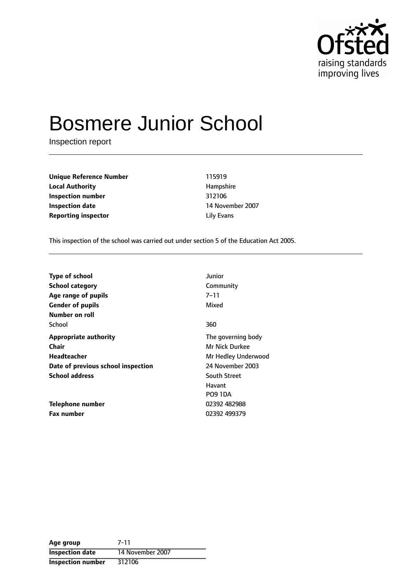

# Bosmere Junior School

Inspection report

**Unique Reference Number** 115919 **Local Authority Hampshire Inspection number** 312106 **Inspection date** 14 November 2007 **Reporting inspector and a little Evans** Lily Evans

This inspection of the school was carried out under section 5 of the Education Act 2005.

| <b>Type of school</b>              | Junior              |
|------------------------------------|---------------------|
| <b>School category</b>             | Community           |
| Age range of pupils                | $7 - 11$            |
| <b>Gender of pupils</b>            | Mixed               |
| Number on roll                     |                     |
| School                             | 360                 |
| <b>Appropriate authority</b>       | The governing body  |
| <b>Chair</b>                       | Mr Nick Durkee      |
| Headteacher                        | Mr Hedley Underwood |
| Date of previous school inspection | 24 November 2003    |
| <b>School address</b>              | <b>South Street</b> |
|                                    | Havant              |
|                                    | <b>PO9 1DA</b>      |
| <b>Telephone number</b>            | 02392 482988        |
| <b>Fax number</b>                  | 02392 499379        |

| Age group                | 7-11             |
|--------------------------|------------------|
| <b>Inspection date</b>   | 14 November 2007 |
| <b>Inspection number</b> | 312106           |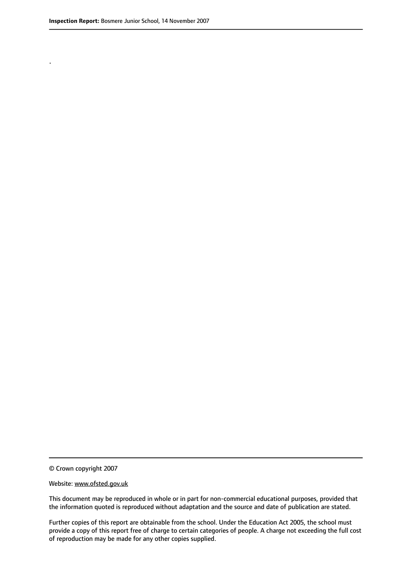.

© Crown copyright 2007

#### Website: www.ofsted.gov.uk

This document may be reproduced in whole or in part for non-commercial educational purposes, provided that the information quoted is reproduced without adaptation and the source and date of publication are stated.

Further copies of this report are obtainable from the school. Under the Education Act 2005, the school must provide a copy of this report free of charge to certain categories of people. A charge not exceeding the full cost of reproduction may be made for any other copies supplied.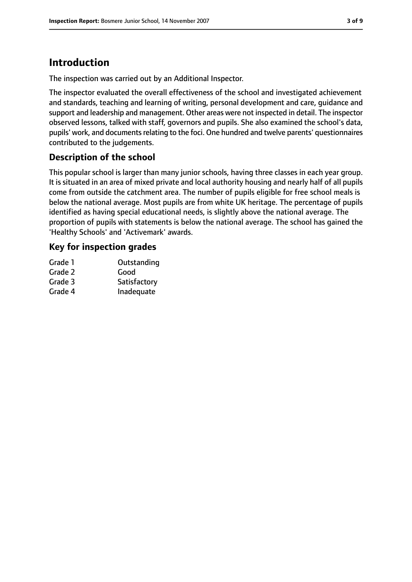# **Introduction**

The inspection was carried out by an Additional Inspector.

The inspector evaluated the overall effectiveness of the school and investigated achievement and standards, teaching and learning of writing, personal development and care, guidance and support and leadership and management. Other areas were not inspected in detail. The inspector observed lessons, talked with staff, governors and pupils. She also examined the school's data, pupils' work, and documents relating to the foci. One hundred and twelve parents' questionnaires contributed to the judgements.

# **Description of the school**

This popular school is larger than many junior schools, having three classes in each year group. It is situated in an area of mixed private and local authority housing and nearly half of all pupils come from outside the catchment area. The number of pupils eligible for free school meals is below the national average. Most pupils are from white UK heritage. The percentage of pupils identified as having special educational needs, is slightly above the national average. The proportion of pupils with statements is below the national average. The school has gained the 'Healthy Schools' and 'Activemark' awards.

### **Key for inspection grades**

| Grade 1 | Outstanding  |
|---------|--------------|
| Grade 2 | Good         |
| Grade 3 | Satisfactory |
| Grade 4 | Inadequate   |
|         |              |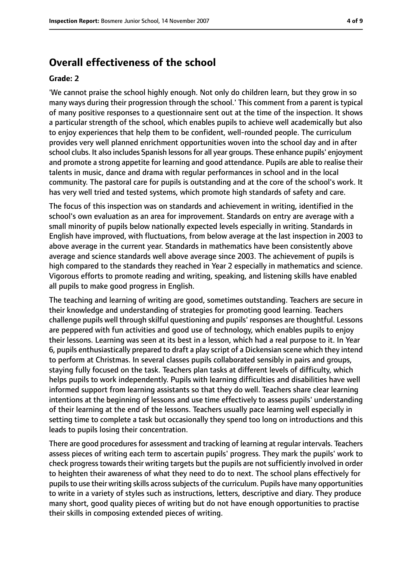# **Overall effectiveness of the school**

#### **Grade: 2**

'We cannot praise the school highly enough. Not only do children learn, but they grow in so many ways during their progression through the school.' This comment from a parent is typical of many positive responses to a questionnaire sent out at the time of the inspection. It shows a particular strength of the school, which enables pupils to achieve well academically but also to enjoy experiences that help them to be confident, well-rounded people. The curriculum provides very well planned enrichment opportunities woven into the school day and in after school clubs. It also includes Spanish lessons for all year groups. These enhance pupils' enjoyment and promote a strong appetite for learning and good attendance. Pupils are able to realise their talents in music, dance and drama with regular performances in school and in the local community. The pastoral care for pupils is outstanding and at the core of the school's work. It has very well tried and tested systems, which promote high standards of safety and care.

The focus of this inspection was on standards and achievement in writing, identified in the school's own evaluation as an area for improvement. Standards on entry are average with a small minority of pupils below nationally expected levels especially in writing. Standards in English have improved, with fluctuations, from below average at the last inspection in 2003 to above average in the current year. Standards in mathematics have been consistently above average and science standards well above average since 2003. The achievement of pupils is high compared to the standards they reached in Year 2 especially in mathematics and science. Vigorous efforts to promote reading and writing, speaking, and listening skills have enabled all pupils to make good progress in English.

The teaching and learning of writing are good, sometimes outstanding. Teachers are secure in their knowledge and understanding of strategies for promoting good learning. Teachers challenge pupils well through skilful questioning and pupils' responses are thoughtful. Lessons are peppered with fun activities and good use of technology, which enables pupils to enjoy their lessons. Learning was seen at its best in a lesson, which had a real purpose to it. In Year 6, pupils enthusiastically prepared to draft a play script of a Dickensian scene which they intend to perform at Christmas. In several classes pupils collaborated sensibly in pairs and groups, staying fully focused on the task. Teachers plan tasks at different levels of difficulty, which helps pupils to work independently. Pupils with learning difficulties and disabilities have well informed support from learning assistants so that they do well. Teachers share clear learning intentions at the beginning of lessons and use time effectively to assess pupils' understanding of their learning at the end of the lessons. Teachers usually pace learning well especially in setting time to complete a task but occasionally they spend too long on introductions and this leads to pupils losing their concentration.

There are good proceduresfor assessment and tracking of learning at regular intervals. Teachers assess pieces of writing each term to ascertain pupils' progress. They mark the pupils' work to check progress towards their writing targets but the pupils are not sufficiently involved in order to heighten their awareness of what they need to do to next. The school plans effectively for pupils to use their writing skills across subjects of the curriculum. Pupils have many opportunities to write in a variety of styles such as instructions, letters, descriptive and diary. They produce many short, good quality pieces of writing but do not have enough opportunities to practise their skills in composing extended pieces of writing.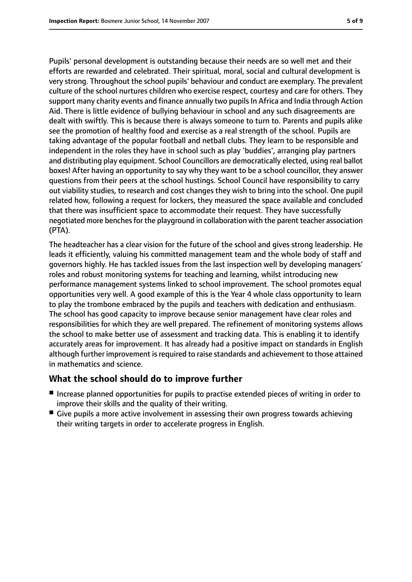Pupils' personal development is outstanding because their needs are so well met and their efforts are rewarded and celebrated. Their spiritual, moral, social and cultural development is very strong. Throughout the school pupils' behaviour and conduct are exemplary. The prevalent culture of the school nurtures children who exercise respect, courtesy and care for others. They support many charity events and finance annually two pupils In Africa and India through Action Aid. There is little evidence of bullying behaviour in school and any such disagreements are dealt with swiftly. This is because there is always someone to turn to. Parents and pupils alike see the promotion of healthy food and exercise as a real strength of the school. Pupils are taking advantage of the popular football and netball clubs. They learn to be responsible and independent in the roles they have in school such as play 'buddies', arranging play partners and distributing play equipment. School Councillors are democratically elected, using real ballot boxes! After having an opportunity to say why they want to be a school councillor, they answer questions from their peers at the school hustings. School Council have responsibility to carry out viability studies, to research and cost changes they wish to bring into the school. One pupil related how, following a request for lockers, they measured the space available and concluded that there was insufficient space to accommodate their request. They have successfully negotiated more benches for the playground in collaboration with the parent teacher association (PTA).

The headteacher has a clear vision for the future of the school and gives strong leadership. He leads it efficiently, valuing his committed management team and the whole body of staff and governors highly. He has tackled issues from the last inspection well by developing managers' roles and robust monitoring systems for teaching and learning, whilst introducing new performance management systems linked to school improvement. The school promotes equal opportunities very well. A good example of this is the Year 4 whole class opportunity to learn to play the trombone embraced by the pupils and teachers with dedication and enthusiasm. The school has good capacity to improve because senior management have clear roles and responsibilities for which they are well prepared. The refinement of monitoring systems allows the school to make better use of assessment and tracking data. This is enabling it to identify accurately areas for improvement. It has already had a positive impact on standards in English although further improvement is required to raise standards and achievement to those attained in mathematics and science.

### **What the school should do to improve further**

- Increase planned opportunities for pupils to practise extended pieces of writing in order to improve their skills and the quality of their writing.
- Give pupils a more active involvement in assessing their own progress towards achieving their writing targets in order to accelerate progress in English.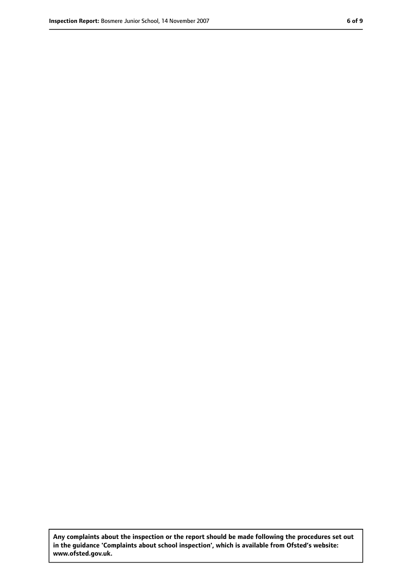**Any complaints about the inspection or the report should be made following the procedures set out in the guidance 'Complaints about school inspection', which is available from Ofsted's website: www.ofsted.gov.uk.**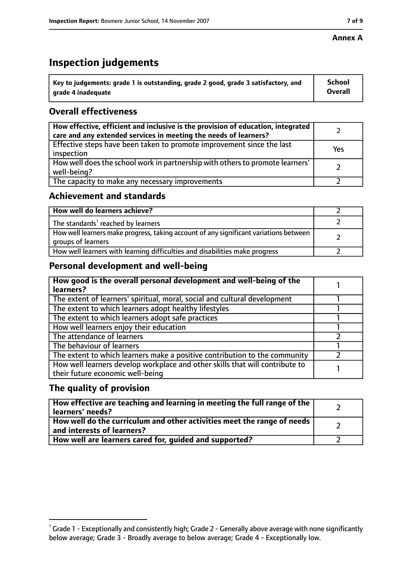### **Annex A**

# **Inspection judgements**

| $\lq$ Key to judgements: grade 1 is outstanding, grade 2 good, grade 3 satisfactory, and | <b>School</b>  |
|------------------------------------------------------------------------------------------|----------------|
| arade 4 inadequate                                                                       | <b>Overall</b> |

# **Overall effectiveness**

| How effective, efficient and inclusive is the provision of education, integrated<br>care and any extended services in meeting the needs of learners? |     |
|------------------------------------------------------------------------------------------------------------------------------------------------------|-----|
| Effective steps have been taken to promote improvement since the last<br>inspection                                                                  | Yes |
| How well does the school work in partnership with others to promote learners'<br>well-being?                                                         |     |
| The capacity to make any necessary improvements                                                                                                      |     |

## **Achievement and standards**

| How well do learners achieve?                                                                               |  |
|-------------------------------------------------------------------------------------------------------------|--|
| The standards <sup>1</sup> reached by learners                                                              |  |
| How well learners make progress, taking account of any significant variations between<br>groups of learners |  |
| How well learners with learning difficulties and disabilities make progress                                 |  |

# **Personal development and well-being**

| How good is the overall personal development and well-being of the<br>learners?                                  |  |
|------------------------------------------------------------------------------------------------------------------|--|
| The extent of learners' spiritual, moral, social and cultural development                                        |  |
| The extent to which learners adopt healthy lifestyles                                                            |  |
| The extent to which learners adopt safe practices                                                                |  |
| How well learners enjoy their education                                                                          |  |
| The attendance of learners                                                                                       |  |
| The behaviour of learners                                                                                        |  |
| The extent to which learners make a positive contribution to the community                                       |  |
| How well learners develop workplace and other skills that will contribute to<br>their future economic well-being |  |

### **The quality of provision**

| How effective are teaching and learning in meeting the full range of the<br>learners' needs?                     |  |
|------------------------------------------------------------------------------------------------------------------|--|
| How well do the curriculum and other activities meet the range of needs<br>$^{\rm t}$ and interests of learners? |  |
| How well are learners cared for, guided and supported?                                                           |  |

 $^1$  Grade 1 - Exceptionally and consistently high; Grade 2 - Generally above average with none significantly below average; Grade 3 - Broadly average to below average; Grade 4 - Exceptionally low.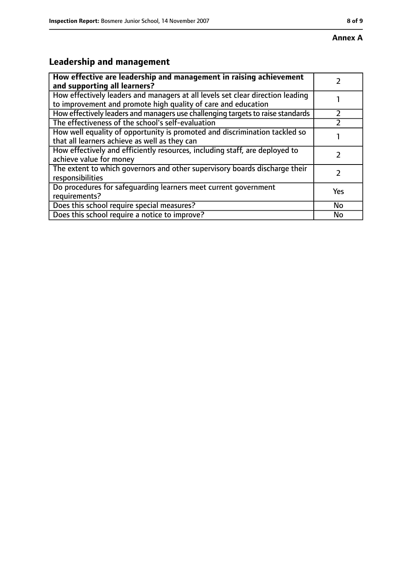# **Leadership and management**

| How effective are leadership and management in raising achievement<br>and supporting all learners?                                              |     |
|-------------------------------------------------------------------------------------------------------------------------------------------------|-----|
| How effectively leaders and managers at all levels set clear direction leading<br>to improvement and promote high quality of care and education |     |
| How effectively leaders and managers use challenging targets to raise standards                                                                 |     |
| The effectiveness of the school's self-evaluation                                                                                               |     |
| How well equality of opportunity is promoted and discrimination tackled so<br>that all learners achieve as well as they can                     |     |
| How effectively and efficiently resources, including staff, are deployed to<br>achieve value for money                                          |     |
| The extent to which governors and other supervisory boards discharge their<br>responsibilities                                                  |     |
| Do procedures for safequarding learners meet current government<br>requirements?                                                                | Yes |
| Does this school require special measures?                                                                                                      | No  |
| Does this school require a notice to improve?                                                                                                   | No  |